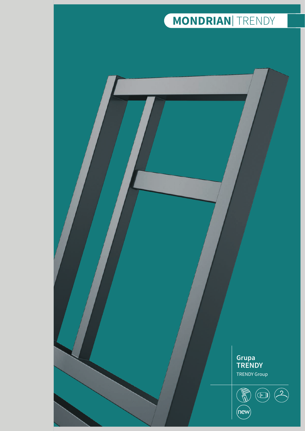



 $(\widehat{new})$ 



TRENDY Group



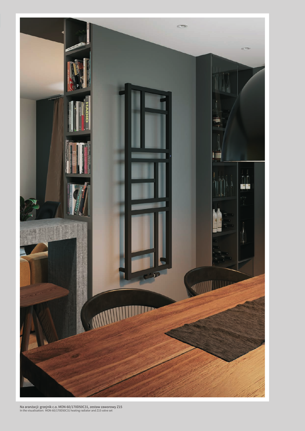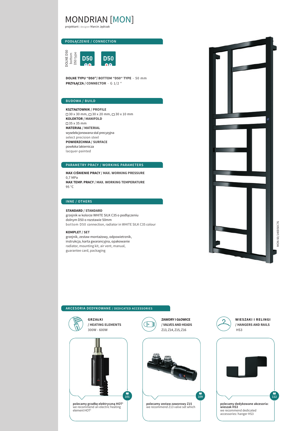## MONDRIAN [MON]

projektant / designer Marcin Jędrzak

### **PODŁĄCZENIE / CONNECTION**



**DOLNE TYPU "D50"/ BOTTOM "D50" TYPE** - 50 mm **PRZYŁĄCZA / CONNECTOR** - G 1/2 "

#### **BUDOWA / BUILD**

**KSZTAŁTOWNIK / PROFILE**  $\Box$  30 x 30 mm,  $\Box$  30 x 20 mm,  $\Box$  30 x 10 mm **KOLEKTOR / MANIFOLD**  35 x 35 mm **MATERIAŁ / MATERIAL** wyselekcjonowana stal precyzyjna select precision steel **POWIERZCHNIA / SURFACE** powłoka lakiernicza lacquer-painted

#### **PARAMETRY PRACY / WORKING PARAMETERS**

**MAX CIŚNIENIE PRACY / MAX. WORKING PRESSURE**  0,7 MPa **MAX TEMP. PRACY / MAX. WORKING TEMPERATURE** 95 °C

#### **INNE / OTHERS**

**STANDARD / STANDARD** grzejnik w kolorze WHITE SILK C35 o podłączeniu dolnym D50 o rozstawie 50mm bottom D50 connection, radiator in WHITE SILK C35 colour

#### **KOMPLET / SET**

grzejnik, zestaw montażowy, odpowietrznik, instrukcja, karta gwarancyjna, opakowanie radiator, mounting kit, air vent, manual, guarantee card, packaging



**112**